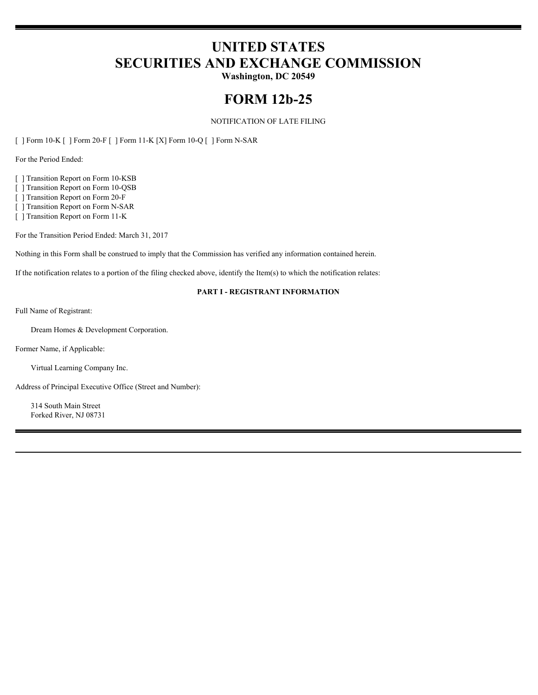# **UNITED STATES SECURITIES AND EXCHANGE COMMISSION**

**Washington, DC 20549**

## **FORM 12b-25**

#### NOTIFICATION OF LATE FILING

[ ] Form 10-K [ ] Form 20-F [ ] Form 11-K [X] Form 10-Q [ ] Form N-SAR

For the Period Ended:

[ ] Transition Report on Form 10-KSB

[ ] Transition Report on Form 10-QSB

[ ] Transition Report on Form 20-F

[ ] Transition Report on Form N-SAR

[ ] Transition Report on Form 11-K

For the Transition Period Ended: March 31, 2017

Nothing in this Form shall be construed to imply that the Commission has verified any information contained herein.

If the notification relates to a portion of the filing checked above, identify the Item(s) to which the notification relates:

#### **PART I - REGISTRANT INFORMATION**

Full Name of Registrant:

Dream Homes & Development Corporation.

Former Name, if Applicable:

Virtual Learning Company Inc.

Address of Principal Executive Office (Street and Number):

314 South Main Street Forked River, NJ 08731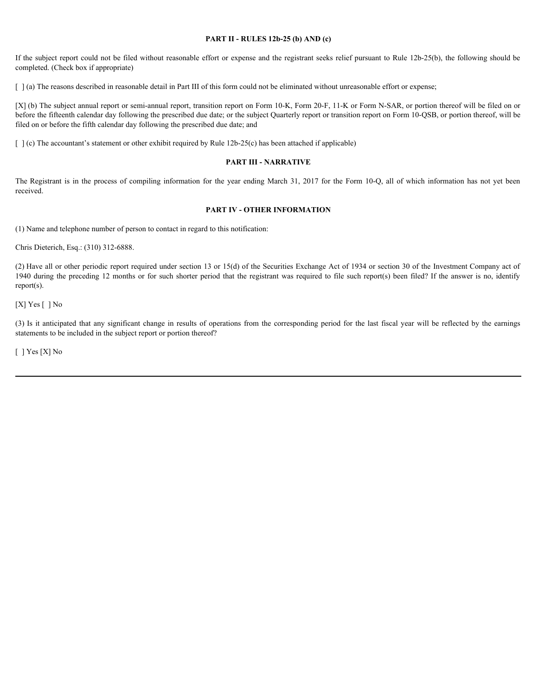#### **PART II - RULES 12b-25 (b) AND (c)**

If the subject report could not be filed without reasonable effort or expense and the registrant seeks relief pursuant to Rule 12b-25(b), the following should be completed. (Check box if appropriate)

[  $\alpha$ ] (a) The reasons described in reasonable detail in Part III of this form could not be eliminated without unreasonable effort or expense;

[X] (b) The subject annual report or semi-annual report, transition report on Form 10-K, Form 20-F, 11-K or Form N-SAR, or portion thereof will be filed on or before the fifteenth calendar day following the prescribed due date; or the subject Quarterly report or transition report on Form 10-QSB, or portion thereof, will be filed on or before the fifth calendar day following the prescribed due date; and **FART II - RULES 12b-25 (b) AND (c)**<br> **PART II - RULES 12b-25 (b) AND (c)**<br> **The completed** (Check box if appropriate)<br>  $\int$  (a) The reasons described in reasonable clual in Part III of this form could not be eliminated w Fits subject report could not be fitel without reasonable effort or expense and the registrant secks relative participates of completed (10,000 in example of the corresponding  $|1/a\rangle$ ) The meant-decembed in results of the

 $\lceil \cdot \rceil$  (c) The accountant's statement or other exhibit required by Rule 12b-25(c) has been attached if applicable)

#### **PART III - NARRATIVE**

received.

#### **PART IV - OTHER INFORMATION**

(1) Name and telephone number of person to contact in regard to this notification:

Chris Dieterich, Esq.: (310) 312-6888.

(2) Have all or other periodic report required under section 13 or 15(d) of the Securities Exchange Act of 1934 or section 30 of the Investment Company act of 1940 during the preceding 12 months or for such shorter period that the registrant was required to file such report(s) been filed? If the answer is no, identify report(s).

[X] Yes [] No

statements to be included in the subject report or portion thereof?

[ ] Yes [X] No